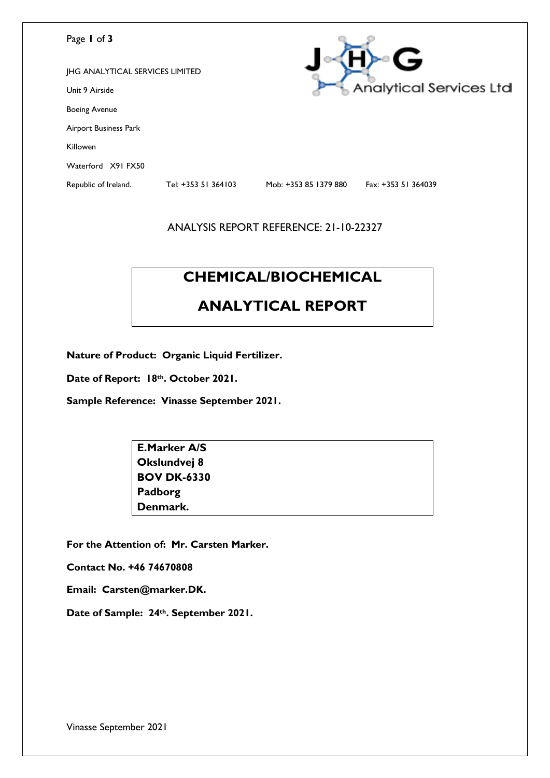#### Page **1** of **3**

| Page I of 3                            |                     |                       | G                              |
|----------------------------------------|---------------------|-----------------------|--------------------------------|
| <b>JHG ANALYTICAL SERVICES LIMITED</b> |                     |                       |                                |
| Unit 9 Airside                         |                     |                       | <b>Analytical Services Ltd</b> |
| <b>Boeing Avenue</b>                   |                     |                       |                                |
| Airport Business Park                  |                     |                       |                                |
| Killowen                               |                     |                       |                                |
| Waterford X91 FX50                     |                     |                       |                                |
| Republic of Ireland.                   | Tel: +353 51 364103 | Mob: +353 85 1379 880 | Fax: +353 51 364039            |

#### ANALYSIS REPORT REFERENCE: 21-10-22327

# **CHEMICAL/BIOCHEMICAL**

## **ANALYTICAL REPORT**

**Nature of Product: Organic Liquid Fertilizer.**

**Date of Report: 18th. October 2021.**

**Sample Reference: Vinasse September 2021.**

**E.Marker A/S Okslundvej 8 BOV DK-6330 Padborg Denmark.**

**For the Attention of: Mr. Carsten Marker.**

**Contact No. +46 74670808**

**Email: Carsten@marker.DK.**

**Date of Sample: 24th. September 2021.**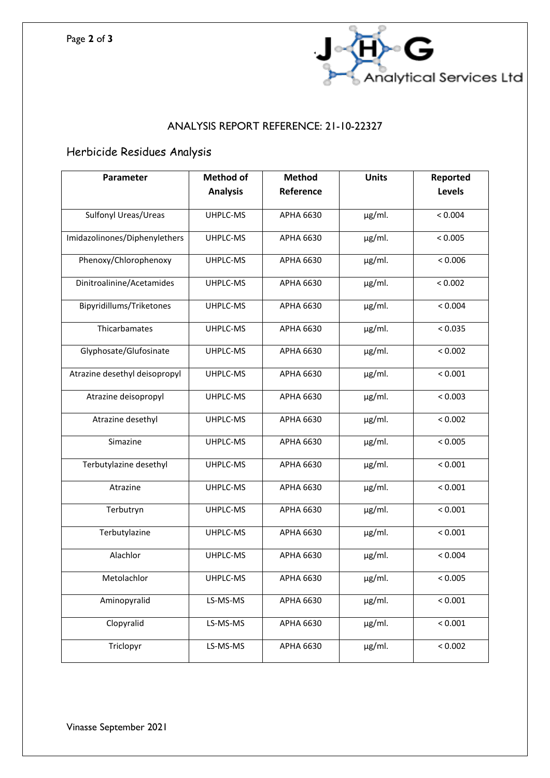

### ANALYSIS REPORT REFERENCE: 21-10-22327

## Herbicide Residues Analysis

| Parameter                     | <b>Method of</b> | <b>Method</b>    | <b>Units</b> | Reported |
|-------------------------------|------------------|------------------|--------------|----------|
|                               | <b>Analysis</b>  | Reference        |              | Levels   |
| Sulfonyl Ureas/Ureas          | UHPLC-MS         | APHA 6630        | $\mu$ g/ml.  | < 0.004  |
| Imidazolinones/Diphenylethers | UHPLC-MS         | <b>APHA 6630</b> | $\mu$ g/ml.  | < 0.005  |
| Phenoxy/Chlorophenoxy         | UHPLC-MS         | APHA 6630        | µg/ml.       | < 0.006  |
| Dinitroalinine/Acetamides     | UHPLC-MS         | APHA 6630        | $\mu$ g/ml.  | < 0.002  |
| Bipyridillums/Triketones      | UHPLC-MS         | APHA 6630        | µg/ml.       | < 0.004  |
| Thicarbamates                 | UHPLC-MS         | APHA 6630        | $\mu$ g/ml.  | < 0.035  |
| Glyphosate/Glufosinate        | UHPLC-MS         | APHA 6630        | $\mu$ g/ml.  | < 0.002  |
| Atrazine desethyl deisopropyl | UHPLC-MS         | APHA 6630        | µg/ml.       | < 0.001  |
| Atrazine deisopropyl          | UHPLC-MS         | APHA 6630        | $\mu$ g/ml.  | < 0.003  |
| Atrazine desethyl             | UHPLC-MS         | APHA 6630        | µg/ml.       | < 0.002  |
| Simazine                      | UHPLC-MS         | APHA 6630        | µg/ml.       | < 0.005  |
| Terbutylazine desethyl        | UHPLC-MS         | APHA 6630        | µg/ml.       | < 0.001  |
| Atrazine                      | UHPLC-MS         | APHA 6630        | µg/ml.       | < 0.001  |
| Terbutryn                     | UHPLC-MS         | APHA 6630        | µg/ml.       | < 0.001  |
| Terbutylazine                 | UHPLC-MS         | APHA 6630        | $\mu$ g/ml.  | < 0.001  |
| Alachlor                      | UHPLC-MS         | APHA 6630        | µg/ml.       | < 0.004  |
| Metolachlor                   | UHPLC-MS         | APHA 6630        | $\mu$ g/ml.  | < 0.005  |
| Aminopyralid                  | LS-MS-MS         | APHA 6630        | $\mu$ g/ml.  | < 0.001  |
| Clopyralid                    | LS-MS-MS         | APHA 6630        | µg/ml.       | < 0.001  |
| Triclopyr                     | LS-MS-MS         | <b>APHA 6630</b> | µg/ml.       | < 0.002  |